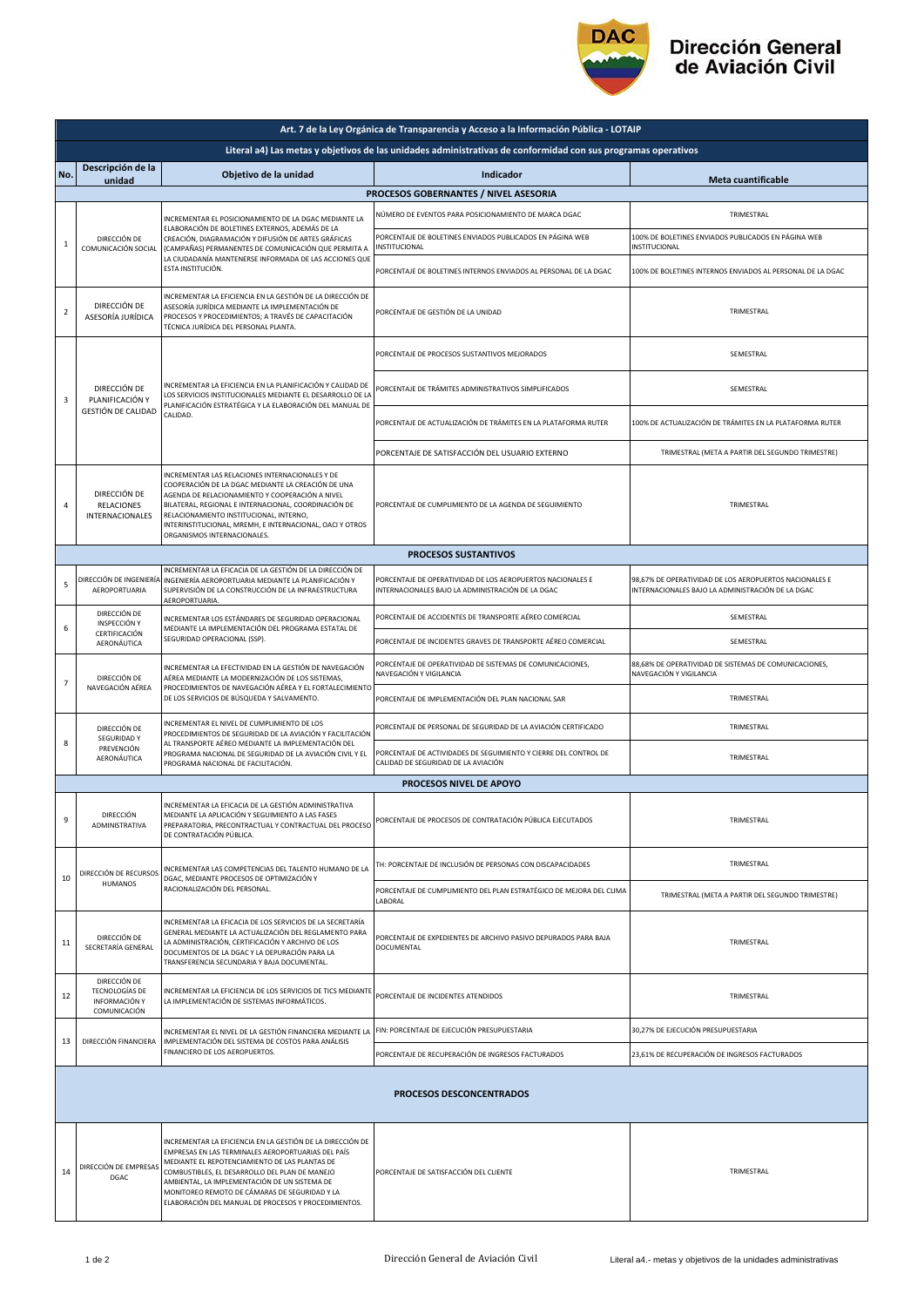

## Dirección General<br>de Aviación Civil

|                          | Art. 7 de la Ley Orgánica de Transparencia y Acceso a la Información Pública - LOTAIP                         |                                                                                                                                                                                                                                                                                                                                                                                |                                                                                                                 |                                                                                                             |  |  |  |  |
|--------------------------|---------------------------------------------------------------------------------------------------------------|--------------------------------------------------------------------------------------------------------------------------------------------------------------------------------------------------------------------------------------------------------------------------------------------------------------------------------------------------------------------------------|-----------------------------------------------------------------------------------------------------------------|-------------------------------------------------------------------------------------------------------------|--|--|--|--|
|                          | Literal a4) Las metas y objetivos de las unidades administrativas de conformidad con sus programas operativos |                                                                                                                                                                                                                                                                                                                                                                                |                                                                                                                 |                                                                                                             |  |  |  |  |
| No.                      | Descripción de la<br>unidad                                                                                   | Objetivo de la unidad                                                                                                                                                                                                                                                                                                                                                          | Indicador                                                                                                       | <b>Meta cuantificable</b>                                                                                   |  |  |  |  |
|                          |                                                                                                               |                                                                                                                                                                                                                                                                                                                                                                                | PROCESOS GOBERNANTES / NIVEL ASESORIA                                                                           |                                                                                                             |  |  |  |  |
| 1                        | DIRECCIÓN DE<br>COMUNICACIÓN SOCIAL                                                                           | INCREMENTAR EL POSICIONAMIENTO DE LA DGAC MEDIANTE LA<br>ELABORACIÓN DE BOLETINES EXTERNOS. ADEMÁS DE LA<br>CREACIÓN, DIAGRAMACIÓN Y DIFUSIÓN DE ARTES GRÁFICAS<br>(CAMPAÑAS) PERMANENTES DE COMUNICACIÓN QUE PERMITA A<br>LA CIUDADANÍA MANTENERSE INFORMADA DE LAS ACCIONES QUE<br><b>FSTA INSTITUCIÓN.</b>                                                                  | NÚMERO DE EVENTOS PARA POSICIONAMIENTO DE MARCA DGAC                                                            | TRIMESTRAL                                                                                                  |  |  |  |  |
|                          |                                                                                                               |                                                                                                                                                                                                                                                                                                                                                                                | PORCENTAJE DE BOLETINES ENVIADOS PUBLICADOS EN PÁGINA WEB<br><b>INSTITUCIONAL</b>                               | 100% DE BOLETINES ENVIADOS PUBLICADOS EN PÁGINA WEB<br>INSTITUCIONAL                                        |  |  |  |  |
|                          |                                                                                                               |                                                                                                                                                                                                                                                                                                                                                                                | PORCENTAJE DE BOLETINES INTERNOS ENVIADOS AL PERSONAL DE LA DGAC                                                | 100% DE BOLETINES INTERNOS ENVIADOS AL PERSONAL DE LA DGAC                                                  |  |  |  |  |
| $\overline{2}$           | DIRECCIÓN DE<br>ASESORÍA JURÍDICA                                                                             | INCREMENTAR LA EFICIENCIA EN LA GESTIÓN DE LA DIRECCIÓN DE<br>ASESORÍA JURÍDICA MEDIANTE LA IMPLEMENTACIÓN DE<br>PROCESOS Y PROCEDIMIENTOS; A TRAVÉS DE CAPACITACIÓN<br>TÉCNICA JURÍDICA DEL PERSONAL PLANTA.                                                                                                                                                                  | PORCENTAJE DE GESTIÓN DE LA UNIDAD                                                                              | TRIMESTRAL                                                                                                  |  |  |  |  |
| 3                        | DIRECCIÓN DE<br>PLANIFICACIÓN Y<br>GESTIÓN DE CALIDAD                                                         | INCREMENTAR LA EFICIENCIA EN LA PLANIFICACIÓN Y CALIDAD DE<br>LOS SERVICIOS INSTITUCIONALES MEDIANTE EL DESARROLLO DE LA<br>PLANIFICACIÓN ESTRATÉGICA Y LA ELABORACIÓN DEL MANUAL DE<br>CALIDAD.                                                                                                                                                                               | PORCENTAJE DE PROCESOS SUSTANTIVOS MEJORADOS                                                                    | SEMESTRAL                                                                                                   |  |  |  |  |
|                          |                                                                                                               |                                                                                                                                                                                                                                                                                                                                                                                | PORCENTAJE DE TRÁMITES ADMINISTRATIVOS SIMPLIFICADOS                                                            | SEMESTRAL                                                                                                   |  |  |  |  |
|                          |                                                                                                               |                                                                                                                                                                                                                                                                                                                                                                                | PORCENTAJE DE ACTUALIZACIÓN DE TRÁMITES EN LA PLATAFORMA RUTER                                                  | 100% DE ACTUALIZACIÓN DE TRÁMITES EN LA PLATAFORMA RUTER                                                    |  |  |  |  |
|                          |                                                                                                               |                                                                                                                                                                                                                                                                                                                                                                                | PORCENTAJE DE SATISFACCIÓN DEL USUARIO EXTERNO                                                                  | TRIMESTRAL (META A PARTIR DEL SEGUNDO TRIMESTRE)                                                            |  |  |  |  |
| 4                        | DIRECCIÓN DE<br><b>RELACIONES</b><br><b>INTERNACIONALES</b>                                                   | INCREMENTAR LAS RELACIONES INTERNACIONALES Y DE<br>COOPERACIÓN DE LA DGAC MEDIANTE LA CREACIÓN DE UNA<br>AGENDA DE RELACIONAMIENTO Y COOPERACIÓN A NIVEL<br>BILATERAL, REGIONAL E INTERNACIONAL, COORDINACIÓN DE<br>RELACIONAMIENTO INSTITUCIONAL, INTERNO,<br>INTERINSTITUCIONAL, MREMH, E INTERNACIONAL, OACI Y OTROS<br>ORGANISMOS INTERNACIONALES.                         | PORCENTAJE DE CUMPLIMIENTO DE LA AGENDA DE SEGUIMIENTO                                                          | TRIMESTRAL                                                                                                  |  |  |  |  |
|                          |                                                                                                               |                                                                                                                                                                                                                                                                                                                                                                                | <b>PROCESOS SUSTANTIVOS</b>                                                                                     |                                                                                                             |  |  |  |  |
| 5                        | AEROPORTUARIA                                                                                                 | INCREMENTAR LA EFICACIA DE LA GESTIÓN DE LA DIRECCIÓN DE<br>DIRECCIÓN DE INGENIERÍA INGENIERÍA AEROPORTUARIA MEDIANTE LA PLANIFICACIÓN Y<br>SUPERVISIÓN DE LA CONSTRUCCIÓN DE LA INFRAESTRUCTURA<br>AEROPORTUARIA.                                                                                                                                                             | PORCENTAJE DE OPERATIVIDAD DE LOS AEROPUERTOS NACIONALES E<br>INTERNACIONALES BAJO LA ADMINISTRACIÓN DE LA DGAC | 98,67% DE OPERATIVIDAD DE LOS AEROPUERTOS NACIONALES E<br>INTERNACIONALES BAJO LA ADMINISTRACIÓN DE LA DGAC |  |  |  |  |
| 6                        | DIRECCIÓN DE<br>INSPECCIÓN Y                                                                                  | INCREMENTAR LOS ESTÁNDARES DE SEGURIDAD OPERACIONAL<br>MEDIANTE LA IMPLEMENTACIÓN DEL PROGRAMA ESTATAL DE<br>SEGURIDAD OPERACIONAL (SSP).                                                                                                                                                                                                                                      | PORCENTAJE DE ACCIDENTES DE TRANSPORTE AÉREO COMERCIAL                                                          | SEMESTRAL                                                                                                   |  |  |  |  |
|                          | CERTIFICACIÓN<br>AERONÁUTICA                                                                                  |                                                                                                                                                                                                                                                                                                                                                                                | PORCENTAJE DE INCIDENTES GRAVES DE TRANSPORTE AÉREO COMERCIAL                                                   | SEMESTRAL                                                                                                   |  |  |  |  |
| $\overline{7}$           | DIRECCIÓN DE<br>NAVEGACIÓN AÉREA                                                                              | INCREMENTAR LA EFECTIVIDAD EN LA GESTIÓN DE NAVEGACIÓN<br>AÉREA MEDIANTE LA MODERNIZACIÓN DE LOS SISTEMAS,<br>PROCEDIMIENTOS DE NAVEGACIÓN AÉREA Y EL FORTALECIMIENTO<br>DE LOS SERVICIOS DE BÚSQUEDA Y SALVAMENTO.                                                                                                                                                            | PORCENTAJE DE OPERATIVIDAD DE SISTEMAS DE COMUNICACIONES,<br>NAVEGACIÓN Y VIGILANCIA                            | 88,68% DE OPERATIVIDAD DE SISTEMAS DE COMUNICACIONES,<br>NAVEGACIÓN Y VIGILANCIA                            |  |  |  |  |
|                          |                                                                                                               |                                                                                                                                                                                                                                                                                                                                                                                | PORCENTAJE DE IMPLEMENTACIÓN DEL PLAN NACIONAL SAR                                                              | TRIMESTRAL                                                                                                  |  |  |  |  |
| 8                        | DIRECCIÓN DE<br>SEGURIDAD Y<br>PREVENCIÓN<br>AERONÁUTICA                                                      | INCREMENTAR EL NIVEL DE CUMPLIMIENTO DE LOS<br>PROCEDIMIENTOS DE SEGURIDAD DE LA AVIACIÓN Y FACILITACIÓN<br>AL TRANSPORTE AÉREO MEDIANTE LA IMPLEMENTACIÓN DEL<br>PROGRAMA NACIONAL DE SEGURIDAD DE LA AVIACIÓN CIVIL Y EL<br>PROGRAMA NACIONAL DE FACILITACIÓN.                                                                                                               | PORCENTAJE DE PERSONAL DE SEGURIDAD DE LA AVIACIÓN CERTIFICADO                                                  | TRIMESTRAL                                                                                                  |  |  |  |  |
|                          |                                                                                                               |                                                                                                                                                                                                                                                                                                                                                                                | PORCENTAJE DE ACTIVIDADES DE SEGUIMIENTO Y CIERRE DEL CONTROL DE<br>CALIDAD DE SEGURIDAD DE LA AVIACIÓN         | TRIMESTRAL                                                                                                  |  |  |  |  |
|                          | PROCESOS NIVEL DE APOYO                                                                                       |                                                                                                                                                                                                                                                                                                                                                                                |                                                                                                                 |                                                                                                             |  |  |  |  |
| 9                        | <b>DIRECCIÓN</b><br>ADMINISTRATIVA                                                                            | INCREMENTAR LA EFICACIA DE LA GESTIÓN ADMINISTRATIVA<br>MEDIANTE LA APLICACIÓN Y SEGUIMIENTO A LAS FASES<br>PREPARATORIA, PRECONTRACTUAL Y CONTRACTUAL DEL PROCESO<br>DE CONTRATACIÓN PÚBLICA.                                                                                                                                                                                 | PORCENTAJE DE PROCESOS DE CONTRATACIÓN PÚBLICA EJECUTADOS                                                       | TRIMESTRAL                                                                                                  |  |  |  |  |
|                          | DIRECCIÓN DE RECURSOS<br><b>HUMANOS</b>                                                                       | INCREMENTAR LAS COMPETENCIAS DEL TALENTO HUMANO DE LA<br>DGAC, MEDIANTE PROCESOS DE OPTIMIZACIÓN Y<br>RACIONALIZACIÓN DEL PERSONAL.                                                                                                                                                                                                                                            | TH: PORCENTAJE DE INCLUSIÓN DE PERSONAS CON DISCAPACIDADES                                                      | TRIMESTRAL                                                                                                  |  |  |  |  |
| 10                       |                                                                                                               |                                                                                                                                                                                                                                                                                                                                                                                | PORCENTAJE DE CUMPLIMIENTO DEL PLAN ESTRATÉGICO DE MEJORA DEL CLIMA<br>LABORAL                                  | TRIMESTRAL (META A PARTIR DEL SEGUNDO TRIMESTRE)                                                            |  |  |  |  |
| -11                      | DIRECCIÓN DE<br>SECRETARÍA GENERAL                                                                            | INCREMENTAR LA EFICACIA DE LOS SERVICIOS DE LA SECRETARÍA<br>GENERAL MEDIANTE LA ACTUALIZACIÓN DEL REGLAMENTO PARA<br>LA ADMINISTRACIÓN, CERTIFICACIÓN Y ARCHIVO DE LOS<br>DOCUMENTOS DE LA DGAC Y LA DEPURACIÓN PARA LA<br>TRANSFERENCIA SECUNDARIA Y BAJA DOCUMENTAL.                                                                                                        | PORCENTAJE DE EXPEDIENTES DE ARCHIVO PASIVO DEPURADOS PARA BAJA<br>DOCUMENTAL                                   | TRIMESTRAL                                                                                                  |  |  |  |  |
| 12                       | DIRECCIÓN DE<br>TECNOLOGÍAS DE<br><b>INFORMACIÓN Y</b><br>COMUNICACIÓN                                        | INCREMENTAR LA EFICIENCIA DE LOS SERVICIOS DE TICS MEDIANTE<br>LA IMPLEMENTACIÓN DE SISTEMAS INFORMÁTICOS.                                                                                                                                                                                                                                                                     | PORCENTAJE DE INCIDENTES ATENDIDOS                                                                              | TRIMESTRAL                                                                                                  |  |  |  |  |
| 13                       | DIRECCIÓN FINANCIERA                                                                                          | INCREMENTAR EL NIVEL DE LA GESTIÓN FINANCIERA MEDIANTE LA<br>IMPLEMENTACIÓN DEL SISTEMA DE COSTOS PARA ANÁLISIS<br>FINANCIERO DE LOS AEROPUERTOS.                                                                                                                                                                                                                              | FIN: PORCENTAJE DE EJECUCIÓN PRESUPUESTARIA                                                                     | 30,27% DE EJECUCIÓN PRESUPUESTARIA                                                                          |  |  |  |  |
|                          |                                                                                                               |                                                                                                                                                                                                                                                                                                                                                                                | PORCENTAJE DE RECUPERACIÓN DE INGRESOS FACTURADOS                                                               | 23,61% DE RECUPERACIÓN DE INGRESOS FACTURADOS                                                               |  |  |  |  |
| PROCESOS DESCONCENTRADOS |                                                                                                               |                                                                                                                                                                                                                                                                                                                                                                                |                                                                                                                 |                                                                                                             |  |  |  |  |
| 14                       | DIRECCIÓN DE EMPRESA!<br><b>DGAC</b>                                                                          | INCREMENTAR LA EFICIENCIA EN LA GESTIÓN DE LA DIRECCIÓN DE<br>EMPRESAS EN LAS TERMINALES AEROPORTUARIAS DEL PAÍS<br>MEDIANTE EL REPOTENCIAMIENTO DE LAS PLANTAS DE<br>COMBUSTIBLES, EL DESARROLLO DEL PLAN DE MANEJO<br>AMBIENTAL, LA IMPLEMENTACIÓN DE UN SISTEMA DE<br>MONITOREO REMOTO DE CÁMARAS DE SEGURIDAD Y LA<br>ELABORACIÓN DEL MANUAL DE PROCESOS Y PROCEDIMIENTOS. | PORCENTAJE DE SATISFACCIÓN DEL CLIENTE                                                                          | TRIMESTRAL                                                                                                  |  |  |  |  |